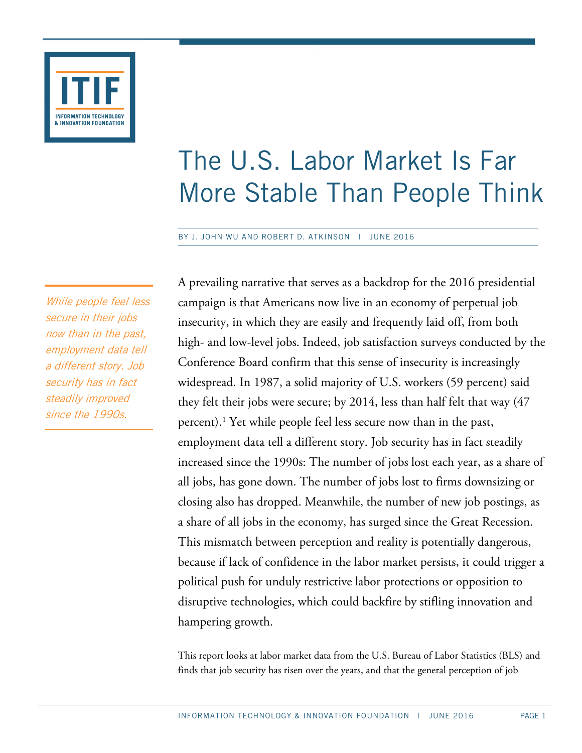

# The U.S. Labor Market Is Far More Stable Than People Think

BY J. JOHN WU AND ROBERT D. ATKINSON | JUNE 2016

While people feel less secure in their jobs now than in the past, employment data tell a different story. Job security has in fact steadily improved since the 1990s.

A prevailing narrative that serves as a backdrop for the 2016 presidential campaign is that Americans now live in an economy of perpetual job insecurity, in which they are easily and frequently laid off, from both high- and low-level jobs. Indeed, job satisfaction surveys conducted by the Conference Board confirm that this sense of insecurity is increasingly widespread. In 1987, a solid majority of U.S. workers (59 percent) said they felt their jobs were secure; by 2014, less than half felt that way (47 percent).[1](#page-12-0) Yet while people feel less secure now than in the past, employment data tell a different story. Job security has in fact steadily increased since the 1990s: The number of jobs lost each year, as a share of all jobs, has gone down. The number of jobs lost to firms downsizing or closing also has dropped. Meanwhile, the number of new job postings, as a share of all jobs in the economy, has surged since the Great Recession. This mismatch between perception and reality is potentially dangerous, because if lack of confidence in the labor market persists, it could trigger a political push for unduly restrictive labor protections or opposition to disruptive technologies, which could backfire by stifling innovation and hampering growth.

This report looks at labor market data from the U.S. Bureau of Labor Statistics (BLS) and finds that job security has risen over the years, and that the general perception of job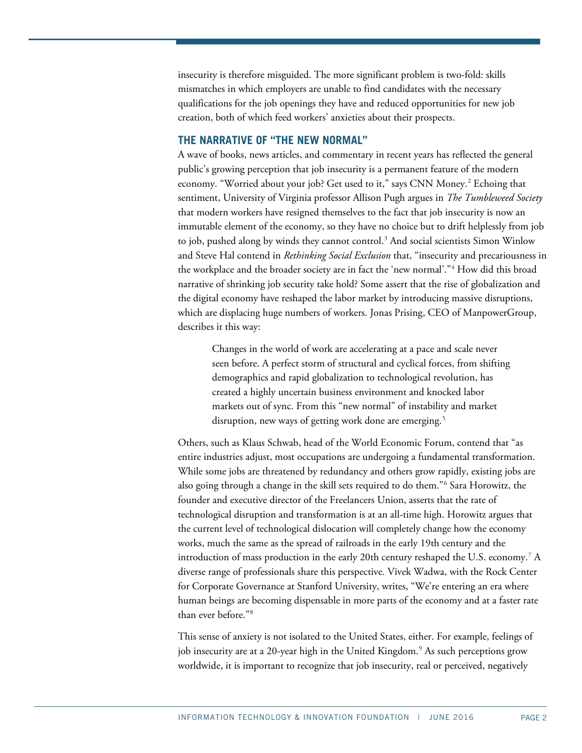insecurity is therefore misguided. The more significant problem is two-fold: skills mismatches in which employers are unable to find candidates with the necessary qualifications for the job openings they have and reduced opportunities for new job creation, both of which feed workers' anxieties about their prospects.

## **THE NARRATIVE OF "THE NEW NORMAL"**

A wave of books, news articles, and commentary in recent years has reflected the general public's growing perception that job insecurity is a permanent feature of the modern economy. "Worried about your job? Get used to it," says CNN Money.<sup>[2](#page-12-1)</sup> Echoing that sentiment, University of Virginia professor Allison Pugh argues in *The Tumbleweed Society* that modern workers have resigned themselves to the fact that job insecurity is now an immutable element of the economy, so they have no choice but to drift helplessly from job to job, pushed along by winds they cannot control.<sup>3</sup> And social scientists Simon Winlow and Steve Hal contend in *Rethinking Social Exclusion* that, "insecurity and precariousness in the workplace and the broader society are in fact the 'new normal'."[4](#page-12-3) How did this broad narrative of shrinking job security take hold? Some assert that the rise of globalization and the digital economy have reshaped the labor market by introducing massive disruptions, which are displacing huge numbers of workers. Jonas Prising, CEO of ManpowerGroup, describes it this way:

Changes in the world of work are accelerating at a pace and scale never seen before. A perfect storm of structural and cyclical forces, from shifting demographics and rapid globalization to technological revolution, has created a highly uncertain business environment and knocked labor markets out of sync. From this "new normal" of instability and market disruption, new ways of getting work done are emerging.<sup>[5](#page-12-4)</sup>

Others, such as Klaus Schwab, head of the World Economic Forum, contend that "as entire industries adjust, most occupations are undergoing a fundamental transformation. While some jobs are threatened by redundancy and others grow rapidly, existing jobs are also going through a change in the skill sets required to do them."[6](#page-12-5) Sara Horowitz, the founder and executive director of the Freelancers Union, asserts that the rate of technological disruption and transformation is at an all-time high. Horowitz argues that the current level of technological dislocation will completely change how the economy works, much the same as the spread of railroads in the early 19th century and the introduction of mass production in the early 20th century reshaped the U.S. economy.[7](#page-12-6) A diverse range of professionals share this perspective. Vivek Wadwa, with the Rock Center for Corporate Governance at Stanford University, writes, "We're entering an era where human beings are becoming dispensable in more parts of the economy and at a faster rate than ever before."[8](#page-12-7)

This sense of anxiety is not isolated to the United States, either. For example, feelings of job insecurity are at a 20-year high in the United Kingdom.<sup>[9](#page-12-8)</sup> As such perceptions grow worldwide, it is important to recognize that job insecurity, real or perceived, negatively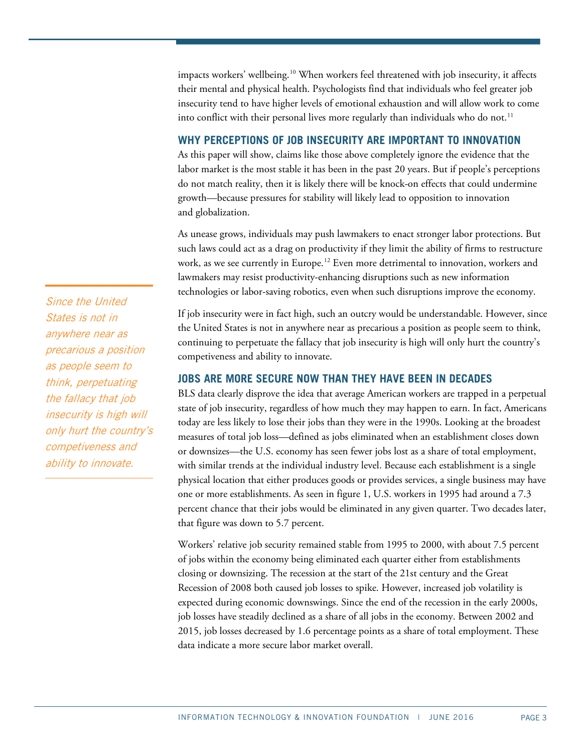impacts workers' wellbeing.[10](#page-12-9) When workers feel threatened with job insecurity, it affects their mental and physical health. Psychologists find that individuals who feel greater job insecurity tend to have higher levels of emotional exhaustion and will allow work to come into conflict with their personal lives more regularly than individuals who do not.<sup>[11](#page-12-10)</sup>

# **WHY PERCEPTIONS OF JOB INSECURITY ARE IMPORTANT TO INNOVATION**

As this paper will show, claims like those above completely ignore the evidence that the labor market is the most stable it has been in the past 20 years. But if people's perceptions do not match reality, then it is likely there will be knock-on effects that could undermine growth—because pressures for stability will likely lead to opposition to innovation and globalization.

As unease grows, individuals may push lawmakers to enact stronger labor protections. But such laws could act as a drag on productivity if they limit the ability of firms to restructure work, as we see currently in Europe.<sup>[12](#page-12-11)</sup> Even more detrimental to innovation, workers and lawmakers may resist productivity-enhancing disruptions such as new information technologies or labor-saving robotics, even when such disruptions improve the economy.

If job insecurity were in fact high, such an outcry would be understandable. However, since the United States is not in anywhere near as precarious a position as people seem to think, continuing to perpetuate the fallacy that job insecurity is high will only hurt the country's competiveness and ability to innovate.

## **JOBS ARE MORE SECURE NOW THAN THEY HAVE BEEN IN DECADES**

BLS data clearly disprove the idea that average American workers are trapped in a perpetual state of job insecurity, regardless of how much they may happen to earn. In fact, Americans today are less likely to lose their jobs than they were in the 1990s. Looking at the broadest measures of total job loss—defined as jobs eliminated when an establishment closes down or downsizes—the U.S. economy has seen fewer jobs lost as a share of total employment, with similar trends at the individual industry level. Because each establishment is a single physical location that either produces goods or provides services, a single business may have one or more establishments. As seen in [figure 1,](#page-2-0) U.S. workers in 1995 had around a 7.3 percent chance that their jobs would be eliminated in any given quarter. Two decades later, that figure was down to 5.7 percent.

<span id="page-2-0"></span>Workers' relative job security remained stable from 1995 to 2000, with about 7.5 percent of jobs within the economy being eliminated each quarter either from establishments closing or downsizing. The recession at the start of the 21st century and the Great Recession of 2008 both caused job losses to spike. However, increased job volatility is expected during economic downswings. Since the end of the recession in the early 2000s, job losses have steadily declined as a share of all jobs in the economy. Between 2002 and 2015, job losses decreased by 1.6 percentage points as a share of total employment. These data indicate a more secure labor market overall.

Since the United States is not in anywhere near as precarious a position as people seem to think, perpetuating the fallacy that job insecurity is high will only hurt the country's competiveness and ability to innovate.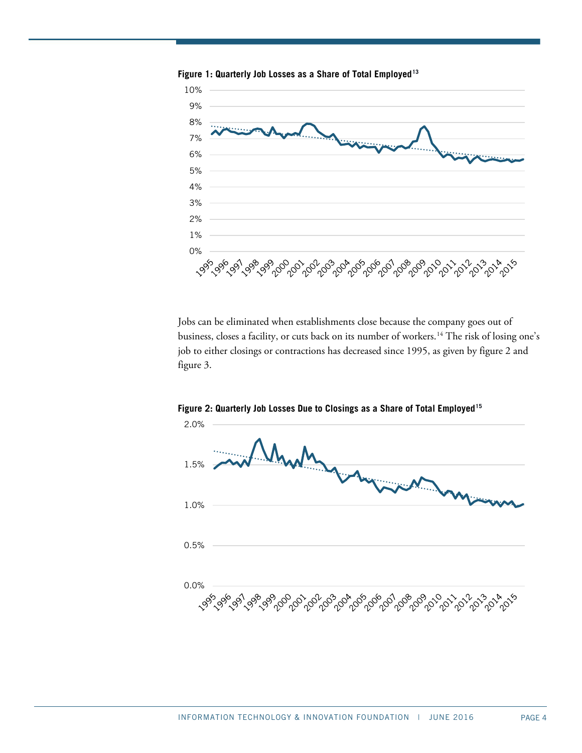

**Figure 1: Quarterly Job Losses as a Share of Total Employed[13](#page-12-12)**

Jobs can be eliminated when establishments close because the company goes out of business, closes a facility, or cuts back on its number of workers.<sup>[14](#page-12-13)</sup> The risk of losing one's job to either closings or contractions has decreased since 1995, as given by [figure 2](#page-3-0) and [figure 3.](#page-4-0)



<span id="page-3-0"></span>**Figure 2: Quarterly Job Losses Due to Closings as a Share of Total Employed[15](#page-12-14)**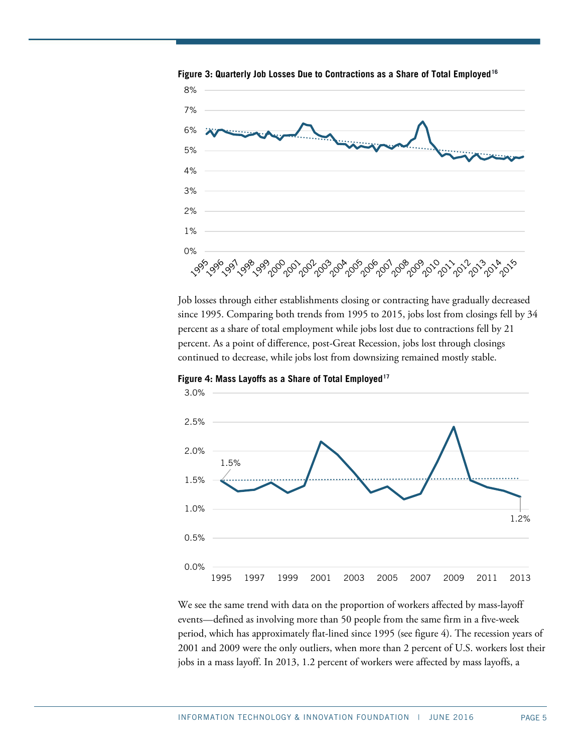

<span id="page-4-0"></span>**Figure 3: Quarterly Job Losses Due to Contractions as a Share of Total Employed[16](#page-12-15)**

Job losses through either establishments closing or contracting have gradually decreased since 1995. Comparing both trends from 1995 to 2015, jobs lost from closings fell by 34 percent as a share of total employment while jobs lost due to contractions fell by 21 percent. As a point of difference, post-Great Recession, jobs lost through closings continued to decrease, while jobs lost from downsizing remained mostly stable.

<span id="page-4-1"></span>**Figure 4: Mass Layoffs as a Share of Total Employed[17](#page-12-16)**



We see the same trend with data on the proportion of workers affected by mass-layoff events—defined as involving more than 50 people from the same firm in a five-week period, which has approximately flat-lined since 1995 (see [figure 4\)](#page-4-1). The recession years of 2001 and 2009 were the only outliers, when more than 2 percent of U.S. workers lost their jobs in a mass layoff. In 2013, 1.2 percent of workers were affected by mass layoffs, a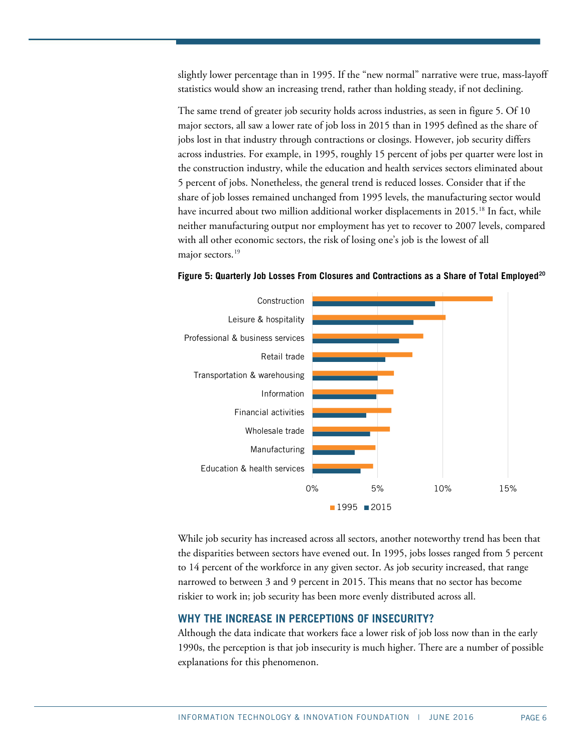slightly lower percentage than in 1995. If the "new normal" narrative were true, mass-layoff statistics would show an increasing trend, rather than holding steady, if not declining.

The same trend of greater job security holds across industries, as seen in [figure 5.](#page-5-0) Of 10 major sectors, all saw a lower rate of job loss in 2015 than in 1995 defined as the share of jobs lost in that industry through contractions or closings. However, job security differs across industries. For example, in 1995, roughly 15 percent of jobs per quarter were lost in the construction industry, while the education and health services sectors eliminated about 5 percent of jobs. Nonetheless, the general trend is reduced losses. Consider that if the share of job losses remained unchanged from 1995 levels, the manufacturing sector would have incurred about two million additional worker displacements in 2015.<sup>[18](#page-12-17)</sup> In fact, while neither manufacturing output nor employment has yet to recover to 2007 levels, compared with all other economic sectors, the risk of losing one's job is the lowest of all major sectors.<sup>19</sup>



<span id="page-5-0"></span>**Figure 5: Quarterly Job Losses From Closures and Contractions as a Share of Total Employed[20](#page-13-1)**

While job security has increased across all sectors, another noteworthy trend has been that the disparities between sectors have evened out. In 1995, jobs losses ranged from 5 percent to 14 percent of the workforce in any given sector. As job security increased, that range narrowed to between 3 and 9 percent in 2015. This means that no sector has become riskier to work in; job security has been more evenly distributed across all.

## **WHY THE INCREASE IN PERCEPTIONS OF INSECURITY?**

Although the data indicate that workers face a lower risk of job loss now than in the early 1990s, the perception is that job insecurity is much higher. There are a number of possible explanations for this phenomenon.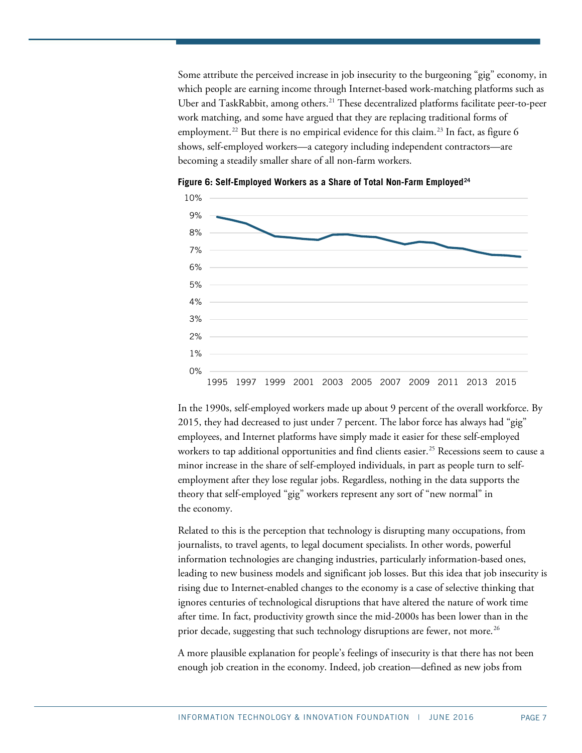Some attribute the perceived increase in job insecurity to the burgeoning "gig" economy, in which people are earning income through Internet-based work-matching platforms such as Uber and TaskRabbit, among others.<sup>[21](#page-13-2)</sup> These decentralized platforms facilitate peer-to-peer work matching, and some have argued that they are replacing traditional forms of employment.<sup>[22](#page-13-3)</sup> But there is no empirical evidence for this claim.<sup>[23](#page-13-4)</sup> In fact, as [figure 6](#page-6-0) shows, self-employed workers—a category including independent contractors—are becoming a steadily smaller share of all non-farm workers.



<span id="page-6-0"></span>**Figure 6: Self-Employed Workers as a Share of Total Non-Farm Employed[24](#page-13-5)**

In the 1990s, self-employed workers made up about 9 percent of the overall workforce. By 2015, they had decreased to just under 7 percent. The labor force has always had "gig" employees, and Internet platforms have simply made it easier for these self-employed workers to tap additional opportunities and find clients easier.<sup>[25](#page-13-6)</sup> Recessions seem to cause a minor increase in the share of self-employed individuals, in part as people turn to selfemployment after they lose regular jobs. Regardless, nothing in the data supports the theory that self-employed "gig" workers represent any sort of "new normal" in the economy.

Related to this is the perception that technology is disrupting many occupations, from journalists, to travel agents, to legal document specialists. In other words, powerful information technologies are changing industries, particularly information-based ones, leading to new business models and significant job losses. But this idea that job insecurity is rising due to Internet-enabled changes to the economy is a case of selective thinking that ignores centuries of technological disruptions that have altered the nature of work time after time. In fact, productivity growth since the mid-2000s has been lower than in the prior decade, suggesting that such technology disruptions are fewer, not more.<sup>[26](#page-13-7)</sup>

A more plausible explanation for people's feelings of insecurity is that there has not been enough job creation in the economy. Indeed, job creation—defined as new jobs from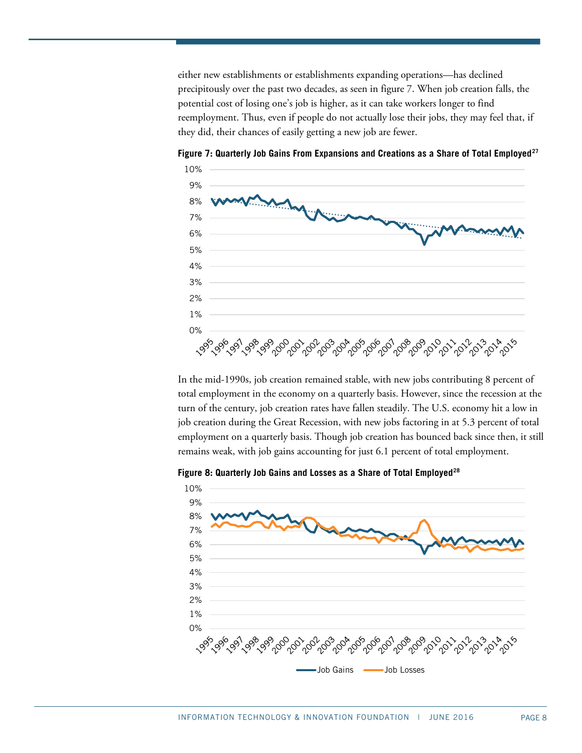either new establishments or establishments expanding operations—has declined precipitously over the past two decades, as seen i[n figure 7.](#page-7-0) When job creation falls, the potential cost of losing one's job is higher, as it can take workers longer to find reemployment. Thus, even if people do not actually lose their jobs, they may feel that, if they did, their chances of easily getting a new job are fewer.



<span id="page-7-0"></span>**Figure 7: Quarterly Job Gains From Expansions and Creations as a Share of Total Employed[27](#page-13-8)**

In the mid-1990s, job creation remained stable, with new jobs contributing 8 percent of total employment in the economy on a quarterly basis. However, since the recession at the turn of the century, job creation rates have fallen steadily. The U.S. economy hit a low in job creation during the Great Recession, with new jobs factoring in at 5.3 percent of total employment on a quarterly basis. Though job creation has bounced back since then, it still remains weak, with job gains accounting for just 6.1 percent of total employment.

<span id="page-7-1"></span>**Figure 8: Quarterly Job Gains and Losses as a Share of Total Employed[28](#page-13-9)**

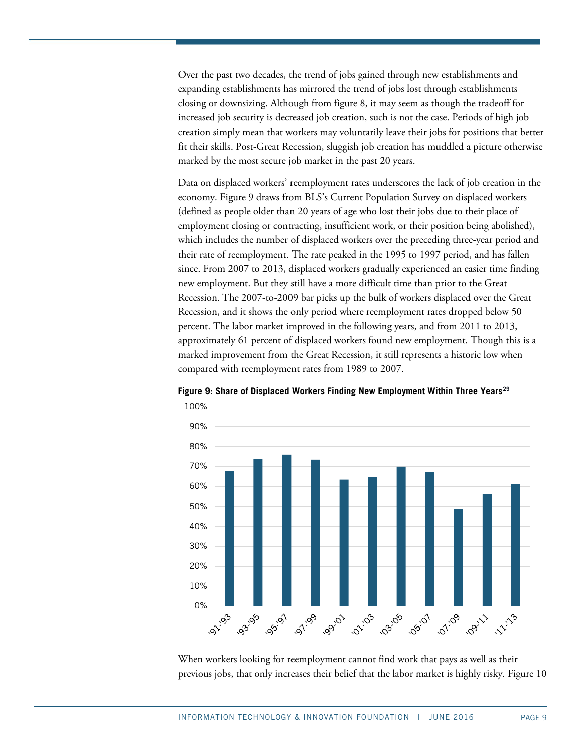Over the past two decades, the trend of jobs gained through new establishments and expanding establishments has mirrored the trend of jobs lost through establishments closing or downsizing. Although from [figure 8,](#page-7-1) it may seem as though the tradeoff for increased job security is decreased job creation, such is not the case. Periods of high job creation simply mean that workers may voluntarily leave their jobs for positions that better fit their skills. Post-Great Recession, sluggish job creation has muddled a picture otherwise marked by the most secure job market in the past 20 years.

Data on displaced workers' reemployment rates underscores the lack of job creation in the economy. [Figure 9](#page-8-0) draws from BLS's Current Population Survey on displaced workers (defined as people older than 20 years of age who lost their jobs due to their place of employment closing or contracting, insufficient work, or their position being abolished), which includes the number of displaced workers over the preceding three-year period and their rate of reemployment. The rate peaked in the 1995 to 1997 period, and has fallen since. From 2007 to 2013, displaced workers gradually experienced an easier time finding new employment. But they still have a more difficult time than prior to the Great Recession. The 2007-to-2009 bar picks up the bulk of workers displaced over the Great Recession, and it shows the only period where reemployment rates dropped below 50 percent. The labor market improved in the following years, and from 2011 to 2013, approximately 61 percent of displaced workers found new employment. Though this is a marked improvement from the Great Recession, it still represents a historic low when compared with reemployment rates from 1989 to 2007.



<span id="page-8-0"></span>**Figure 9: Share of Displaced Workers Finding New Employment Within Three Years[29](#page-13-10)**

When workers looking for reemployment cannot find work that pays as well as their previous jobs, that only increases their belief that the labor market is highly risky. [Figure 10](#page-9-0)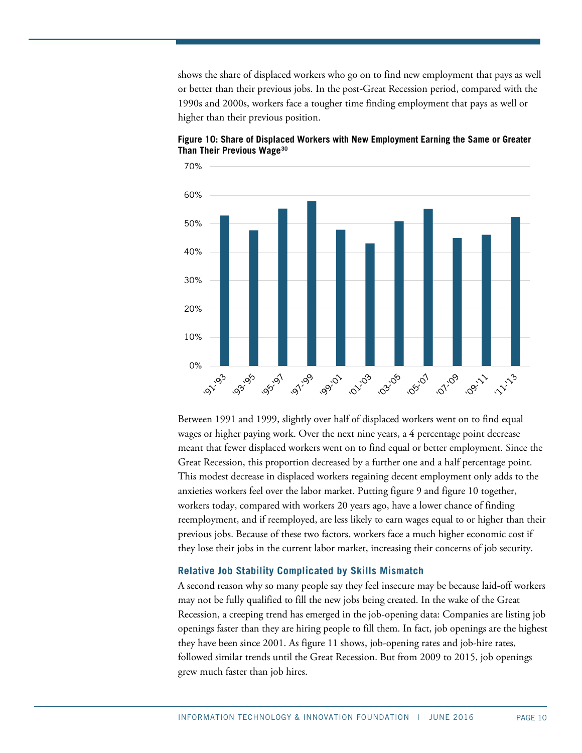shows the share of displaced workers who go on to find new employment that pays as well or better than their previous jobs. In the post-Great Recession period, compared with the 1990s and 2000s, workers face a tougher time finding employment that pays as well or higher than their previous position.



<span id="page-9-0"></span>**Figure 10: Share of Displaced Workers with New Employment Earning the Same or Greater Than Their Previous Wage[30](#page-13-11)**

Between 1991 and 1999, slightly over half of displaced workers went on to find equal wages or higher paying work. Over the next nine years, a 4 percentage point decrease meant that fewer displaced workers went on to find equal or better employment. Since the Great Recession, this proportion decreased by a further one and a half percentage point. This modest decrease in displaced workers regaining decent employment only adds to the anxieties workers feel over the labor market. Putting [figure 9](#page-8-0) and [figure 10](#page-9-0) together, workers today, compared with workers 20 years ago, have a lower chance of finding reemployment, and if reemployed, are less likely to earn wages equal to or higher than their previous jobs. Because of these two factors, workers face a much higher economic cost if they lose their jobs in the current labor market, increasing their concerns of job security.

#### **Relative Job Stability Complicated by Skills Mismatch**

A second reason why so many people say they feel insecure may be because laid-off workers may not be fully qualified to fill the new jobs being created. In the wake of the Great Recession, a creeping trend has emerged in the job-opening data: Companies are listing job openings faster than they are hiring people to fill them. In fact, job openings are the highest they have been since 2001. As [figure 11](#page-10-0) shows, job-opening rates and job-hire rates, followed similar trends until the Great Recession. But from 2009 to 2015, job openings grew much faster than job hires.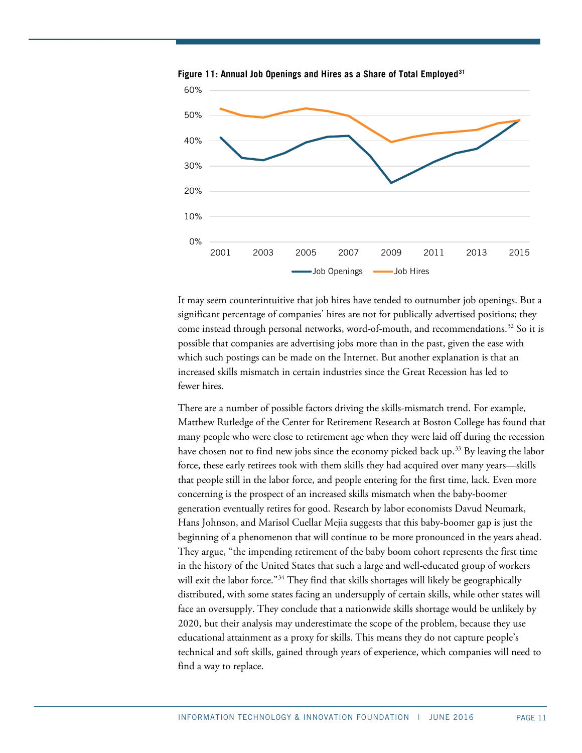

<span id="page-10-0"></span>**Figure 11: Annual Job Openings and Hires as a Share of Total Employed[31](#page-13-12)**

It may seem counterintuitive that job hires have tended to outnumber job openings. But a significant percentage of companies' hires are not for publically advertised positions; they come instead through personal networks, word-of-mouth, and recommendations.<sup>[32](#page-13-13)</sup> So it is possible that companies are advertising jobs more than in the past, given the ease with which such postings can be made on the Internet. But another explanation is that an increased skills mismatch in certain industries since the Great Recession has led to fewer hires.

There are a number of possible factors driving the skills-mismatch trend. For example, Matthew Rutledge of the Center for Retirement Research at Boston College has found that many people who were close to retirement age when they were laid off during the recession have chosen not to find new jobs since the economy picked back up.<sup>[33](#page-13-14)</sup> By leaving the labor force, these early retirees took with them skills they had acquired over many years—skills that people still in the labor force, and people entering for the first time, lack. Even more concerning is the prospect of an increased skills mismatch when the baby-boomer generation eventually retires for good. Research by labor economists Davud Neumark, Hans Johnson, and Marisol Cuellar Mejia suggests that this baby-boomer gap is just the beginning of a phenomenon that will continue to be more pronounced in the years ahead. They argue, "the impending retirement of the baby boom cohort represents the first time in the history of the United States that such a large and well-educated group of workers will exit the labor force."<sup>[34](#page-13-15)</sup> They find that skills shortages will likely be geographically distributed, with some states facing an undersupply of certain skills, while other states will face an oversupply. They conclude that a nationwide skills shortage would be unlikely by 2020, but their analysis may underestimate the scope of the problem, because they use educational attainment as a proxy for skills. This means they do not capture people's technical and soft skills, gained through years of experience, which companies will need to find a way to replace.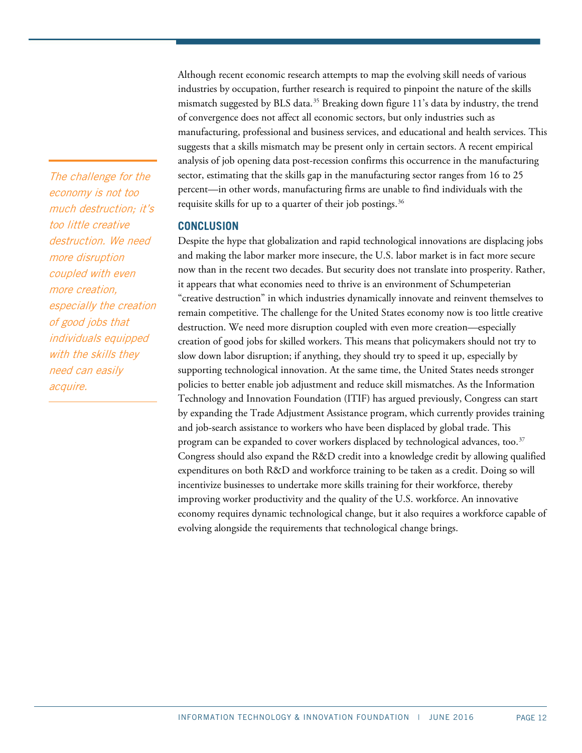industries by occupation, further research is required to pinpoint the nature of the skills mismatch suggested by BLS data.<sup>[35](#page-13-16)</sup> Breaking down [figure 11'](#page-10-0)s data by industry, the trend of convergence does not affect all economic sectors, but only industries such as manufacturing, professional and business services, and educational and health services. This suggests that a skills mismatch may be present only in certain sectors. A recent empirical analysis of job opening data post-recession confirms this occurrence in the manufacturing sector, estimating that the skills gap in the manufacturing sector ranges from 16 to 25 percent—in other words, manufacturing firms are unable to find individuals with the requisite skills for up to a quarter of their job postings.<sup>[36](#page-13-17)</sup>

Although recent economic research attempts to map the evolving skill needs of various

## **CONCLUSION**

Despite the hype that globalization and rapid technological innovations are displacing jobs and making the labor marker more insecure, the U.S. labor market is in fact more secure now than in the recent two decades. But security does not translate into prosperity. Rather, it appears that what economies need to thrive is an environment of Schumpeterian "creative destruction" in which industries dynamically innovate and reinvent themselves to remain competitive. The challenge for the United States economy now is too little creative destruction. We need more disruption coupled with even more creation—especially creation of good jobs for skilled workers. This means that policymakers should not try to slow down labor disruption; if anything, they should try to speed it up, especially by supporting technological innovation. At the same time, the United States needs stronger policies to better enable job adjustment and reduce skill mismatches. As the Information Technology and Innovation Foundation (ITIF) has argued previously, Congress can start by expanding the Trade Adjustment Assistance program, which currently provides training and job-search assistance to workers who have been displaced by global trade. This program can be expanded to cover workers displaced by technological advances, too.<sup>[37](#page-14-0)</sup> Congress should also expand the R&D credit into a knowledge credit by allowing qualified expenditures on both R&D and workforce training to be taken as a credit. Doing so will incentivize businesses to undertake more skills training for their workforce, thereby improving worker productivity and the quality of the U.S. workforce. An innovative economy requires dynamic technological change, but it also requires a workforce capable of evolving alongside the requirements that technological change brings.

The challenge for the economy is not too much destruction; it's too little creative destruction. We need more disruption coupled with even more creation, especially the creation of good jobs that individuals equipped with the skills they need can easily acquire.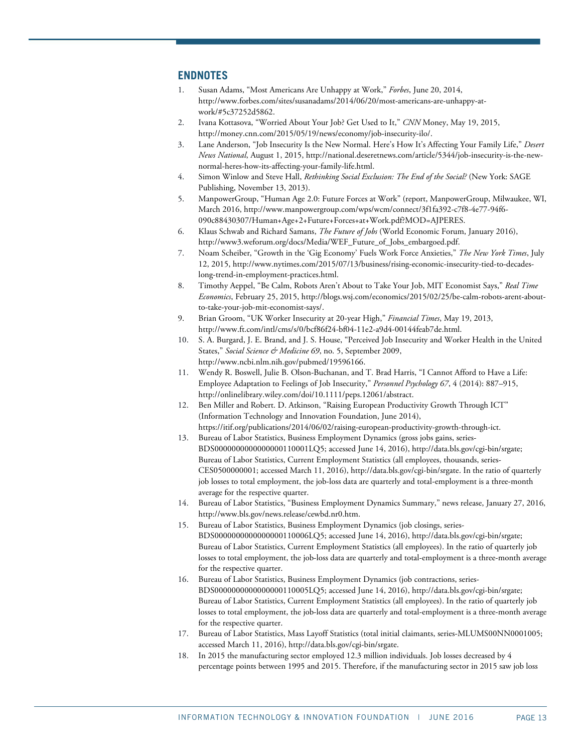#### <span id="page-12-0"></span>**ENDNOTES**

- 1. Susan Adams, "Most Americans Are Unhappy at Work," *Forbes*, June 20, 2014, [http://www.forbes.com/sites/susanadams/2014/06/20/most-americans-are-unhappy-at](http://www.forbes.com/sites/susanadams/2014/06/20/most-americans-are-unhappy-at-work/#5c37252d5862)[work/#5c37252d5862.](http://www.forbes.com/sites/susanadams/2014/06/20/most-americans-are-unhappy-at-work/#5c37252d5862)
- <span id="page-12-1"></span>2. Ivana Kottasova, "Worried About Your Job? Get Used to It," *CNN* Money, May 19, 2015, [http://money.cnn.com/2015/05/19/news/economy/job-insecurity-ilo/.](http://money.cnn.com/2015/05/19/news/economy/job-insecurity-ilo/)
- <span id="page-12-2"></span>3. Lane Anderson, "Job Insecurity Is the New Normal. Here's How It's Affecting Your Family Life," *Desert News National*, August 1, 2015, [http://national.deseretnews.com/article/5344/job-insecurity-is-the-new](http://national.deseretnews.com/article/5344/job-insecurity-is-the-new-normal-heres-how-its-affecting-your-family-life.html)[normal-heres-how-its-affecting-your-family-life.html.](http://national.deseretnews.com/article/5344/job-insecurity-is-the-new-normal-heres-how-its-affecting-your-family-life.html)
- <span id="page-12-3"></span>4. Simon Winlow and Steve Hall, *Rethinking Social Exclusion: The End of the Social?* (New York: SAGE Publishing, November 13, 2013).
- <span id="page-12-4"></span>5. ManpowerGroup, "Human Age 2.0: Future Forces at Work" (report, ManpowerGroup, Milwaukee, WI, March 2016[, http://www.manpowergroup.com/wps/wcm/connect/3f1fa392-c7f8-4e77-94f6-](http://www.manpowergroup.com/wps/wcm/connect/3f1fa392-c7f8-4e77-94f6-090c88430307/Human+Age+2+Future+Forces+at+Work.pdf?MOD=AJPERES) [090c88430307/Human+Age+2+Future+Forces+at+Work.pdf?MOD=AJPERES.](http://www.manpowergroup.com/wps/wcm/connect/3f1fa392-c7f8-4e77-94f6-090c88430307/Human+Age+2+Future+Forces+at+Work.pdf?MOD=AJPERES)
- <span id="page-12-5"></span>6. Klaus Schwab and Richard Samans, *The Future of Jobs* (World Economic Forum, January 2016), [http://www3.weforum.org/docs/Media/WEF\\_Future\\_of\\_Jobs\\_embargoed.pdf.](http://www3.weforum.org/docs/Media/WEF_Future_of_Jobs_embargoed.pdf)
- <span id="page-12-6"></span>7. Noam Scheiber, "Growth in the 'Gig Economy' Fuels Work Force Anxieties," *The New York Times*, July 12, 2015, [http://www.nytimes.com/2015/07/13/business/rising-economic-insecurity-tied-to-decades](http://www.nytimes.com/2015/07/13/business/rising-economic-insecurity-tied-to-decades-long-trend-in-employment-practices.html)[long-trend-in-employment-practices.html.](http://www.nytimes.com/2015/07/13/business/rising-economic-insecurity-tied-to-decades-long-trend-in-employment-practices.html)
- <span id="page-12-7"></span>8. Timothy Aeppel, "Be Calm, Robots Aren't About to Take Your Job, MIT Economist Says," *Real Time Economics*, February 25, 2015, [http://blogs.wsj.com/economics/2015/02/25/be-calm-robots-arent-about](http://blogs.wsj.com/economics/2015/02/25/be-calm-robots-arent-about-to-take-your-job-mit-economist-says/)[to-take-your-job-mit-economist-says/.](http://blogs.wsj.com/economics/2015/02/25/be-calm-robots-arent-about-to-take-your-job-mit-economist-says/)
- <span id="page-12-8"></span>9. Brian Groom, "UK Worker Insecurity at 20-year High," *Financial Times*, May 19, 2013, [http://www.ft.com/intl/cms/s/0/bcf86f24-bf04-11e2-a9d4-00144feab7de.html.](http://www.ft.com/intl/cms/s/0/bcf86f24-bf04-11e2-a9d4-00144feab7de.html)
- <span id="page-12-9"></span>10. S. A. Burgard, J. E. Brand, and J. S. House, "Perceived Job Insecurity and Worker Health in the United States," *Social Science & Medicine 69*, no. 5, September 2009, [http://www.ncbi.nlm.nih.gov/pubmed/19596166.](http://www.ncbi.nlm.nih.gov/pubmed/19596166)
- <span id="page-12-10"></span>11. Wendy R. Boswell, Julie B. Olson-Buchanan, and T. Brad Harris, "I Cannot Afford to Have a Life: Employee Adaptation to Feelings of Job Insecurity," *Personnel Psychology 67*, 4 (2014): 887–915, [http://onlinelibrary.wiley.com/doi/10.1111/peps.12061/abstract.](http://onlinelibrary.wiley.com/doi/10.1111/peps.12061/abstract)
- <span id="page-12-11"></span>12. Ben Miller and Robert. D. Atkinson, "Raising European Productivity Growth Through ICT" (Information Technology and Innovation Foundation, June 2014), [https://itif.org/publications/2014/06/02/raising-european-productivity-growth-through-ict.](https://itif.org/publications/2014/06/02/raising-european-productivity-growth-through-ict)
- <span id="page-12-12"></span>13. Bureau of Labor Statistics, Business Employment Dynamics (gross jobs gains, series-BDS0000000000000000110001LQ5; accessed June 14, 2016), [http://data.bls.gov/cgi-bin/srgate;](http://data.bls.gov/cgi-bin/srgate) Bureau of Labor Statistics, Current Employment Statistics (all employees, thousands, series-CES0500000001; accessed March 11, 2016), [http://data.bls.gov/cgi-bin/srgate.](http://data.bls.gov/cgi-bin/srgate) In the ratio of quarterly job losses to total employment, the job-loss data are quarterly and total-employment is a three-month average for the respective quarter.
- <span id="page-12-13"></span>14. Bureau of Labor Statistics, "Business Employment Dynamics Summary," news release, January 27, 2016, [http://www.bls.gov/news.release/cewbd.nr0.htm.](http://www.bls.gov/news.release/cewbd.nr0.htm)
- <span id="page-12-14"></span>15. Bureau of Labor Statistics, Business Employment Dynamics (job closings, series-BDS0000000000000000110006LQ5; accessed June 14, 2016)[, http://data.bls.gov/cgi-bin/srgate;](http://data.bls.gov/cgi-bin/srgate) Bureau of Labor Statistics, Current Employment Statistics (all employees). In the ratio of quarterly job losses to total employment, the job-loss data are quarterly and total-employment is a three-month average for the respective quarter.
- <span id="page-12-15"></span>16. Bureau of Labor Statistics, Business Employment Dynamics (job contractions, series-BDS0000000000000000110005LQ5; accessed June 14, 2016)[, http://data.bls.gov/cgi-bin/srgate;](http://data.bls.gov/cgi-bin/srgate) Bureau of Labor Statistics, Current Employment Statistics (all employees). In the ratio of quarterly job losses to total employment, the job-loss data are quarterly and total-employment is a three-month average for the respective quarter.
- <span id="page-12-16"></span>17. Bureau of Labor Statistics, Mass Layoff Statistics (total initial claimants, series-MLUMS00NN0001005; accessed March 11, 2016)[, http://data.bls.gov/cgi-bin/srgate.](http://data.bls.gov/cgi-bin/srgate)
- <span id="page-12-17"></span>18. In 2015 the manufacturing sector employed 12.3 million individuals. Job losses decreased by 4 percentage points between 1995 and 2015. Therefore, if the manufacturing sector in 2015 saw job loss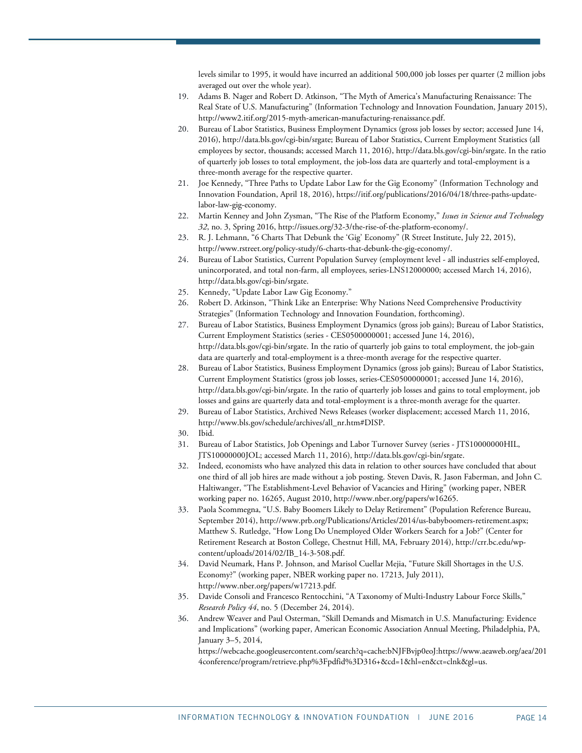levels similar to 1995, it would have incurred an additional 500,000 job losses per quarter (2 million jobs averaged out over the whole year).

- <span id="page-13-0"></span>19. Adams B. Nager and Robert D. Atkinson, "The Myth of America's Manufacturing Renaissance: The Real State of U.S. Manufacturing" (Information Technology and Innovation Foundation, January 2015), [http://www2.itif.org/2015-myth-american-manufacturing-renaissance.pdf.](http://www2.itif.org/2015-myth-american-manufacturing-renaissance.pdf)
- <span id="page-13-1"></span>20. Bureau of Labor Statistics, Business Employment Dynamics (gross job losses by sector; accessed June 14, 2016), http://data.bls.gov/cgi-bin/srgate; Bureau of Labor Statistics, Current Employment Statistics (all employees by sector, thousands; accessed March 11, 2016)[, http://data.bls.gov/cgi-bin/srgate.](http://data.bls.gov/cgi-bin/srgate) In the ratio of quarterly job losses to total employment, the job-loss data are quarterly and total-employment is a three-month average for the respective quarter.
- <span id="page-13-2"></span>21. Joe Kennedy, "Three Paths to Update Labor Law for the Gig Economy" (Information Technology and Innovation Foundation, April 18, 2016), [https://itif.org/publications/2016/04/18/three-paths-update](https://itif.org/publications/2016/04/18/three-paths-update-labor-law-gig-economy)[labor-law-gig-economy.](https://itif.org/publications/2016/04/18/three-paths-update-labor-law-gig-economy)
- <span id="page-13-3"></span>22. Martin Kenney and John Zysman, "The Rise of the Platform Economy," *Issues in Science and Technology 32*, no. 3, Spring 2016[, http://issues.org/32-3/the-rise-of-the-platform-economy/.](http://issues.org/32-3/the-rise-of-the-platform-economy/)
- <span id="page-13-4"></span>23. R. J. Lehmann, "6 Charts That Debunk the 'Gig' Economy" (R Street Institute, July 22, 2015), [http://www.rstreet.org/policy-study/6-charts-that-debunk-the-gig-economy/.](http://www.rstreet.org/policy-study/6-charts-that-debunk-the-gig-economy/)
- <span id="page-13-5"></span>24. Bureau of Labor Statistics, Current Population Survey (employment level - all industries self-employed, unincorporated, and total non-farm, all employees, series-LNS12000000; accessed March 14, 2016), [http://data.bls.gov/cgi-bin/srgate.](http://data.bls.gov/cgi-bin/srgate)
- <span id="page-13-6"></span>25. Kennedy, "Update Labor Law Gig Economy."
- <span id="page-13-7"></span>26. Robert D. Atkinson, "Think Like an Enterprise: Why Nations Need Comprehensive Productivity Strategies" (Information Technology and Innovation Foundation, forthcoming).
- <span id="page-13-8"></span>27. Bureau of Labor Statistics, Business Employment Dynamics (gross job gains); Bureau of Labor Statistics, Current Employment Statistics (series - CES0500000001; accessed June 14, 2016), [http://data.bls.gov/cgi-bin/srgate.](http://data.bls.gov/cgi-bin/srgate) In the ratio of quarterly job gains to total employment, the job-gain data are quarterly and total-employment is a three-month average for the respective quarter.
- <span id="page-13-9"></span>28. Bureau of Labor Statistics, Business Employment Dynamics (gross job gains); Bureau of Labor Statistics, Current Employment Statistics (gross job losses, series-CES0500000001; accessed June 14, 2016), [http://data.bls.gov/cgi-bin/srgate.](http://data.bls.gov/cgi-bin/srgate) In the ratio of quarterly job losses and gains to total employment, job losses and gains are quarterly data and total-employment is a three-month average for the quarter.
- <span id="page-13-10"></span>29. Bureau of Labor Statistics, Archived News Releases (worker displacement; accessed March 11, 2016, [http://www.bls.gov/schedule/archives/all\\_nr.htm#DISP.](http://www.bls.gov/schedule/archives/all_nr.htm#DISP)
- <span id="page-13-11"></span>30. Ibid.
- <span id="page-13-12"></span>31. Bureau of Labor Statistics, Job Openings and Labor Turnover Survey (series - JTS10000000HIL, JTS10000000JOL; accessed March 11, 2016), [http://data.bls.gov/cgi-bin/srgate.](http://data.bls.gov/cgi-bin/srgate)
- <span id="page-13-13"></span>32. Indeed, economists who have analyzed this data in relation to other sources have concluded that about one third of all job hires are made without a job posting. Steven Davis, R. Jason Faberman, and John C. Haltiwanger, "The Establishment-Level Behavior of Vacancies and Hiring" (working paper, NBER working paper no. 16265, August 2010[, http://www.nber.org/papers/w16265.](http://www.nber.org/papers/w16265)
- <span id="page-13-14"></span>33. Paola Scommegna, "U.S. Baby Boomers Likely to Delay Retirement" (Population Reference Bureau, September 2014)[, http://www.prb.org/Publications/Articles/2014/us-babyboomers-retirement.aspx;](http://www.prb.org/Publications/Articles/2014/us-babyboomers-retirement.aspx) Matthew S. Rutledge, "How Long Do Unemployed Older Workers Search for a Job?" (Center for Retirement Research at Boston College, Chestnut Hill, MA, February 2014)[, http://crr.bc.edu/wp](http://crr.bc.edu/wp-content/uploads/2014/02/IB_14-3-508.pdf)[content/uploads/2014/02/IB\\_14-3-508.pdf.](http://crr.bc.edu/wp-content/uploads/2014/02/IB_14-3-508.pdf)
- <span id="page-13-15"></span>34. David Neumark, Hans P. Johnson, and Marisol Cuellar Mejia, "Future Skill Shortages in the U.S. Economy?" (working paper, NBER working paper no. 17213, July 2011), [http://www.nber.org/papers/w17213.pdf.](http://www.nber.org/papers/w17213.pdf)
- <span id="page-13-16"></span>35. Davide Consoli and Francesco Rentocchini, "A Taxonomy of Multi-Industry Labour Force Skills," *Research Policy 44*, no. 5 (December 24, 2014).
- <span id="page-13-17"></span>36. Andrew Weaver and Paul Osterman, "Skill Demands and Mismatch in U.S. Manufacturing: Evidence and Implications" (working paper, American Economic Association Annual Meeting, Philadelphia, PA, January 3–5, 2014,

https://webcache.googleusercontent.com/search?q=cache:bNJFBvjp0eoJ:https://www.aeaweb.org/aea/201 4conference/program/retrieve.php%3Fpdfid%3D316+&cd=1&hl=en&ct=clnk&gl=us.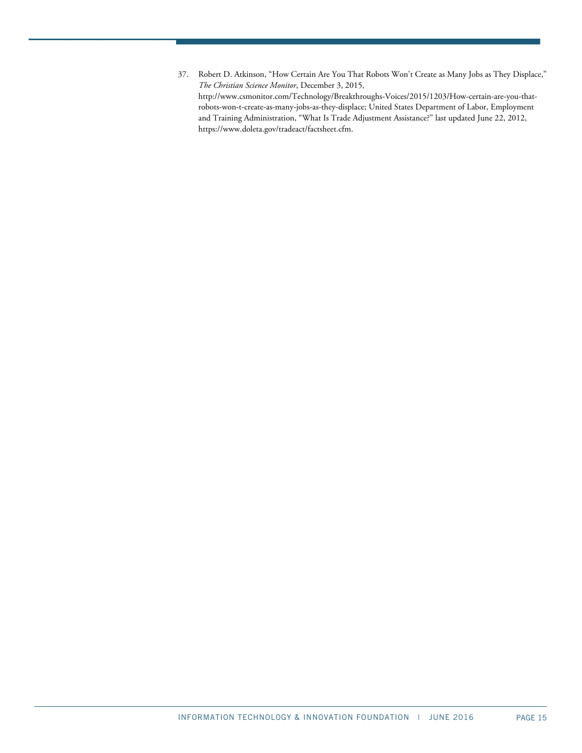<span id="page-14-0"></span>37. Robert D. Atkinson, "How Certain Are You That Robots Won't Create as Many Jobs as They Displace," *The Christian Science Monitor*, December 3, 2015, [http://www.csmonitor.com/Technology/Breakthroughs-Voices/2015/1203/How-certain-are-you-that](http://www.csmonitor.com/Technology/Breakthroughs-Voices/2015/1203/How-certain-are-you-that-robots-won-t-create-as-many-jobs-as-they-displace)[robots-won-t-create-as-many-jobs-as-they-displace;](http://www.csmonitor.com/Technology/Breakthroughs-Voices/2015/1203/How-certain-are-you-that-robots-won-t-create-as-many-jobs-as-they-displace) United States Department of Labor, Employment and Training Administration, "What Is Trade Adjustment Assistance?" last updated June 22, 2012, [https://www.doleta.gov/tradeact/factsheet.cfm.](https://www.doleta.gov/tradeact/factsheet.cfm)